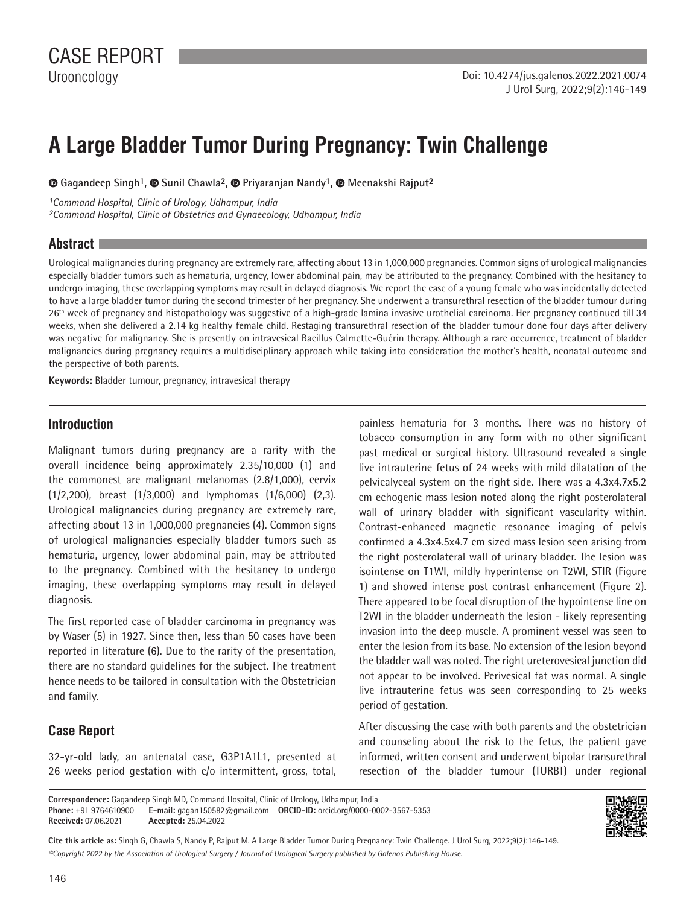# **A Large Bladder Tumor During Pregnancy: Twin Challenge**

 **Gagandeep Singh1,Sunil Chawla2, Priyaranjan Nandy1,Meenakshi Rajput2**

*1Command Hospital, Clinic of Urology, Udhampur, India 2Command Hospital, Clinic of Obstetrics and Gynaecology, Udhampur, India*

#### **Abstract**

Urological malignancies during pregnancy are extremely rare, affecting about 13 in 1,000,000 pregnancies. Common signs of urological malignancies especially bladder tumors such as hematuria, urgency, lower abdominal pain, may be attributed to the pregnancy. Combined with the hesitancy to undergo imaging, these overlapping symptoms may result in delayed diagnosis. We report the case of a young female who was incidentally detected to have a large bladder tumor during the second trimester of her pregnancy. She underwent a transurethral resection of the bladder tumour during 26<sup>th</sup> week of pregnancy and histopathology was suggestive of a high-grade lamina invasive urothelial carcinoma. Her pregnancy continued till 34 weeks, when she delivered a 2.14 kg healthy female child. Restaging transurethral resection of the bladder tumour done four days after delivery was negative for malignancy. She is presently on intravesical Bacillus Calmette-Guérin therapy. Although a rare occurrence, treatment of bladder malignancies during pregnancy requires a multidisciplinary approach while taking into consideration the mother's health, neonatal outcome and the perspective of both parents.

**Keywords:** Bladder tumour, pregnancy, intravesical therapy

#### **Introduction**

Malignant tumors during pregnancy are a rarity with the overall incidence being approximately 2.35/10,000 (1) and the commonest are malignant melanomas (2.8/1,000), cervix (1/2,200), breast (1/3,000) and lymphomas (1/6,000) (2,3). Urological malignancies during pregnancy are extremely rare, affecting about 13 in 1,000,000 pregnancies (4). Common signs of urological malignancies especially bladder tumors such as hematuria, urgency, lower abdominal pain, may be attributed to the pregnancy. Combined with the hesitancy to undergo imaging, these overlapping symptoms may result in delayed diagnosis.

The first reported case of bladder carcinoma in pregnancy was by Waser (5) in 1927. Since then, less than 50 cases have been reported in literature (6). Due to the rarity of the presentation, there are no standard guidelines for the subject. The treatment hence needs to be tailored in consultation with the Obstetrician and family.

## **Case Report**

32-yr-old lady, an antenatal case, G3P1A1L1, presented at 26 weeks period gestation with c/o intermittent, gross, total, painless hematuria for 3 months. There was no history of tobacco consumption in any form with no other significant past medical or surgical history. Ultrasound revealed a single live intrauterine fetus of 24 weeks with mild dilatation of the pelvicalyceal system on the right side. There was a 4.3x4.7x5.2 cm echogenic mass lesion noted along the right posterolateral wall of urinary bladder with significant vascularity within. Contrast-enhanced magnetic resonance imaging of pelvis confirmed a 4.3x4.5x4.7 cm sized mass lesion seen arising from the right posterolateral wall of urinary bladder. The lesion was isointense on T1WI, mildly hyperintense on T2WI, STIR (Figure 1) and showed intense post contrast enhancement (Figure 2). There appeared to be focal disruption of the hypointense line on T2WI in the bladder underneath the lesion - likely representing invasion into the deep muscle. A prominent vessel was seen to enter the lesion from its base. No extension of the lesion beyond the bladder wall was noted. The right ureterovesical junction did not appear to be involved. Perivesical fat was normal. A single live intrauterine fetus was seen corresponding to 25 weeks period of gestation.

After discussing the case with both parents and the obstetrician and counseling about the risk to the fetus, the patient gave informed, written consent and underwent bipolar transurethral resection of the bladder tumour (TURBT) under regional

**Correspondence:** Gagandeep Singh MD, Command Hospital, Clinic of Urology, Udhampur, India

**Phone:** +91 9764610900 **E-mail:** gagan150582@gmail.com **ORCID-ID:** orcid.org/0000-0002-3567-5353 **Received:** 07.06.2021 **Accepted:** 25.04.2022



*©Copyright 2022 by the Association of Urological Surgery / Journal of Urological Surgery published by Galenos Publishing House.* **Cite this article as:** Singh G, Chawla S, Nandy P, Rajput M. A Large Bladder Tumor During Pregnancy: Twin Challenge. J Urol Surg, 2022;9(2):146-149.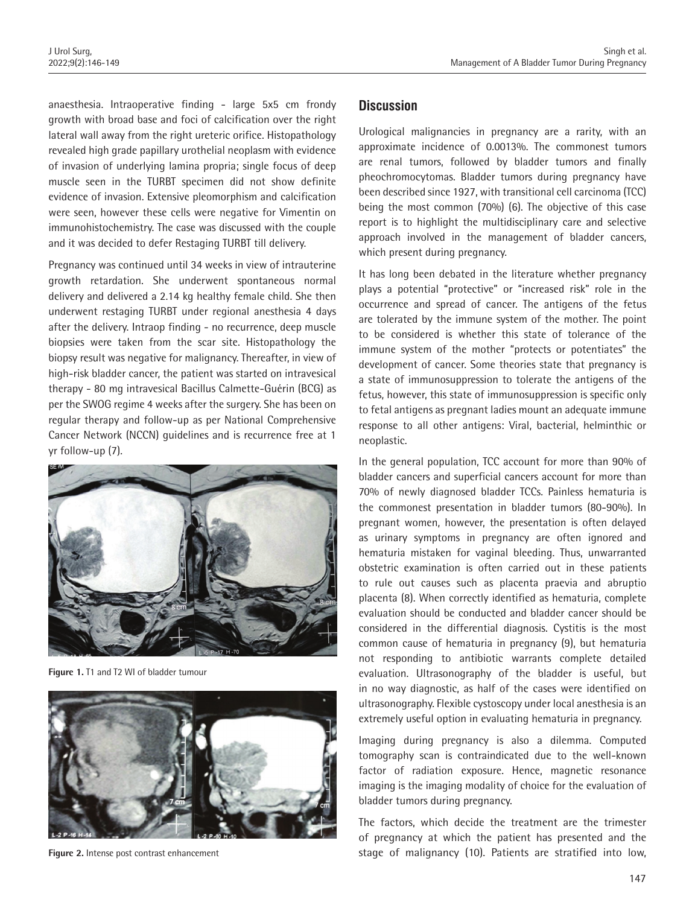anaesthesia. Intraoperative finding - large 5x5 cm frondy growth with broad base and foci of calcification over the right lateral wall away from the right ureteric orifice. Histopathology revealed high grade papillary urothelial neoplasm with evidence of invasion of underlying lamina propria; single focus of deep muscle seen in the TURBT specimen did not show definite evidence of invasion. Extensive pleomorphism and calcification were seen, however these cells were negative for Vimentin on immunohistochemistry. The case was discussed with the couple and it was decided to defer Restaging TURBT till delivery.

Pregnancy was continued until 34 weeks in view of intrauterine growth retardation. She underwent spontaneous normal delivery and delivered a 2.14 kg healthy female child. She then underwent restaging TURBT under regional anesthesia 4 days after the delivery. Intraop finding - no recurrence, deep muscle biopsies were taken from the scar site. Histopathology the biopsy result was negative for malignancy. Thereafter, in view of high-risk bladder cancer, the patient was started on intravesical therapy - 80 mg intravesical Bacillus Calmette-Guérin (BCG) as per the SWOG regime 4 weeks after the surgery. She has been on regular therapy and follow-up as per National Comprehensive Cancer Network (NCCN) guidelines and is recurrence free at 1 yr follow-up (7).



**Figure 1.** T1 and T2 WI of bladder tumour



**Figure 2.** Intense post contrast enhancement

# **Discussion**

Urological malignancies in pregnancy are a rarity, with an approximate incidence of 0.0013%. The commonest tumors are renal tumors, followed by bladder tumors and finally pheochromocytomas. Bladder tumors during pregnancy have been described since 1927, with transitional cell carcinoma (TCC) being the most common (70%) (6). The objective of this case report is to highlight the multidisciplinary care and selective approach involved in the management of bladder cancers, which present during pregnancy.

It has long been debated in the literature whether pregnancy plays a potential "protective" or "increased risk" role in the occurrence and spread of cancer. The antigens of the fetus are tolerated by the immune system of the mother. The point to be considered is whether this state of tolerance of the immune system of the mother "protects or potentiates" the development of cancer. Some theories state that pregnancy is a state of immunosuppression to tolerate the antigens of the fetus, however, this state of immunosuppression is specific only to fetal antigens as pregnant ladies mount an adequate immune response to all other antigens: Viral, bacterial, helminthic or neoplastic.

In the general population, TCC account for more than 90% of bladder cancers and superficial cancers account for more than 70% of newly diagnosed bladder TCCs. Painless hematuria is the commonest presentation in bladder tumors (80-90%). In pregnant women, however, the presentation is often delayed as urinary symptoms in pregnancy are often ignored and hematuria mistaken for vaginal bleeding. Thus, unwarranted obstetric examination is often carried out in these patients to rule out causes such as placenta praevia and abruptio placenta (8). When correctly identified as hematuria, complete evaluation should be conducted and bladder cancer should be considered in the differential diagnosis. Cystitis is the most common cause of hematuria in pregnancy (9), but hematuria not responding to antibiotic warrants complete detailed evaluation. Ultrasonography of the bladder is useful, but in no way diagnostic, as half of the cases were identified on ultrasonography. Flexible cystoscopy under local anesthesia is an extremely useful option in evaluating hematuria in pregnancy.

Imaging during pregnancy is also a dilemma. Computed tomography scan is contraindicated due to the well-known factor of radiation exposure. Hence, magnetic resonance imaging is the imaging modality of choice for the evaluation of bladder tumors during pregnancy.

The factors, which decide the treatment are the trimester of pregnancy at which the patient has presented and the stage of malignancy (10). Patients are stratified into low,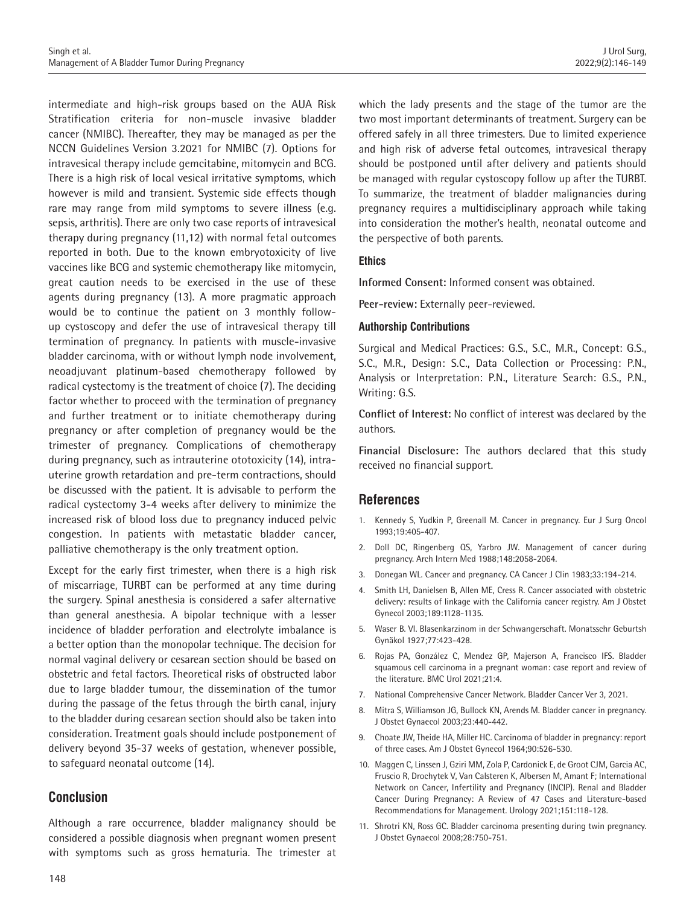intermediate and high-risk groups based on the AUA Risk Stratification criteria for non-muscle invasive bladder cancer (NMIBC). Thereafter, they may be managed as per the NCCN Guidelines Version 3.2021 for NMIBC (7). Options for intravesical therapy include gemcitabine, mitomycin and BCG. There is a high risk of local vesical irritative symptoms, which however is mild and transient. Systemic side effects though rare may range from mild symptoms to severe illness (e.g. sepsis, arthritis). There are only two case reports of intravesical therapy during pregnancy (11,12) with normal fetal outcomes reported in both. Due to the known embryotoxicity of live vaccines like BCG and systemic chemotherapy like mitomycin, great caution needs to be exercised in the use of these agents during pregnancy (13). A more pragmatic approach would be to continue the patient on 3 monthly followup cystoscopy and defer the use of intravesical therapy till termination of pregnancy. In patients with muscle-invasive bladder carcinoma, with or without lymph node involvement, neoadjuvant platinum-based chemotherapy followed by radical cystectomy is the treatment of choice (7). The deciding factor whether to proceed with the termination of pregnancy and further treatment or to initiate chemotherapy during pregnancy or after completion of pregnancy would be the trimester of pregnancy. Complications of chemotherapy during pregnancy, such as intrauterine ototoxicity (14), intrauterine growth retardation and pre-term contractions, should be discussed with the patient. It is advisable to perform the radical cystectomy 3-4 weeks after delivery to minimize the increased risk of blood loss due to pregnancy induced pelvic congestion. In patients with metastatic bladder cancer, palliative chemotherapy is the only treatment option.

Except for the early first trimester, when there is a high risk of miscarriage, TURBT can be performed at any time during the surgery. Spinal anesthesia is considered a safer alternative than general anesthesia. A bipolar technique with a lesser incidence of bladder perforation and electrolyte imbalance is a better option than the monopolar technique. The decision for normal vaginal delivery or cesarean section should be based on obstetric and fetal factors. Theoretical risks of obstructed labor due to large bladder tumour, the dissemination of the tumor during the passage of the fetus through the birth canal, injury to the bladder during cesarean section should also be taken into consideration. Treatment goals should include postponement of delivery beyond 35-37 weeks of gestation, whenever possible, to safeguard neonatal outcome (14).

## **Conclusion**

Although a rare occurrence, bladder malignancy should be considered a possible diagnosis when pregnant women present with symptoms such as gross hematuria. The trimester at which the lady presents and the stage of the tumor are the two most important determinants of treatment. Surgery can be offered safely in all three trimesters. Due to limited experience and high risk of adverse fetal outcomes, intravesical therapy should be postponed until after delivery and patients should be managed with regular cystoscopy follow up after the TURBT. To summarize, the treatment of bladder malignancies during pregnancy requires a multidisciplinary approach while taking into consideration the mother's health, neonatal outcome and the perspective of both parents.

#### **Ethics**

**Informed Consent:** Informed consent was obtained.

**Peer-review:** Externally peer-reviewed.

#### **Authorship Contributions**

Surgical and Medical Practices: G.S., S.C., M.R., Concept: G.S., S.C., M.R., Design: S.C., Data Collection or Processing: P.N., Analysis or Interpretation: P.N., Literature Search: G.S., P.N., Writing: G.S.

**Conflict of Interest:** No conflict of interest was declared by the authors.

**Financial Disclosure:** The authors declared that this study received no financial support.

## **References**

- 1. Kennedy S, Yudkin P, Greenall M. Cancer in pregnancy. Eur J Surg Oncol 1993;19:405-407.
- 2. Doll DC, Ringenberg QS, Yarbro JW. Management of cancer during pregnancy. Arch Intern Med 1988;148:2058-2064.
- 3. Donegan WL. Cancer and pregnancy. CA Cancer J Clin 1983;33:194-214.
- 4. Smith LH, Danielsen B, Allen ME, Cress R. Cancer associated with obstetric delivery: results of linkage with the California cancer registry. Am J Obstet Gynecol 2003;189:1128-1135.
- 5. Waser B. VI. Blasenkarzinom in der Schwangerschaft. Monatsschr Geburtsh Gynäkol 1927;77:423-428.
- 6. Rojas PA, González C, Mendez GP, Majerson A, Francisco IFS. Bladder squamous cell carcinoma in a pregnant woman: case report and review of the literature. BMC Urol 2021;21:4.
- 7. National Comprehensive Cancer Network. Bladder Cancer Ver 3, 2021.
- 8. Mitra S, Williamson JG, Bullock KN, Arends M. Bladder cancer in pregnancy. J Obstet Gynaecol 2003;23:440-442.
- 9. Choate JW, Theide HA, Miller HC. Carcinoma of bladder in pregnancy: report of three cases. Am J Obstet Gynecol 1964;90:526-530.
- 10. Maggen C, Linssen J, Gziri MM, Zola P, Cardonick E, de Groot CJM, Garcia AC, Fruscio R, Drochytek V, Van Calsteren K, Albersen M, Amant F; International Network on Cancer, Infertility and Pregnancy (INCIP). Renal and Bladder Cancer During Pregnancy: A Review of 47 Cases and Literature-based Recommendations for Management. Urology 2021;151:118-128.
- 11. Shrotri KN, Ross GC. Bladder carcinoma presenting during twin pregnancy. J Obstet Gynaecol 2008;28:750-751.